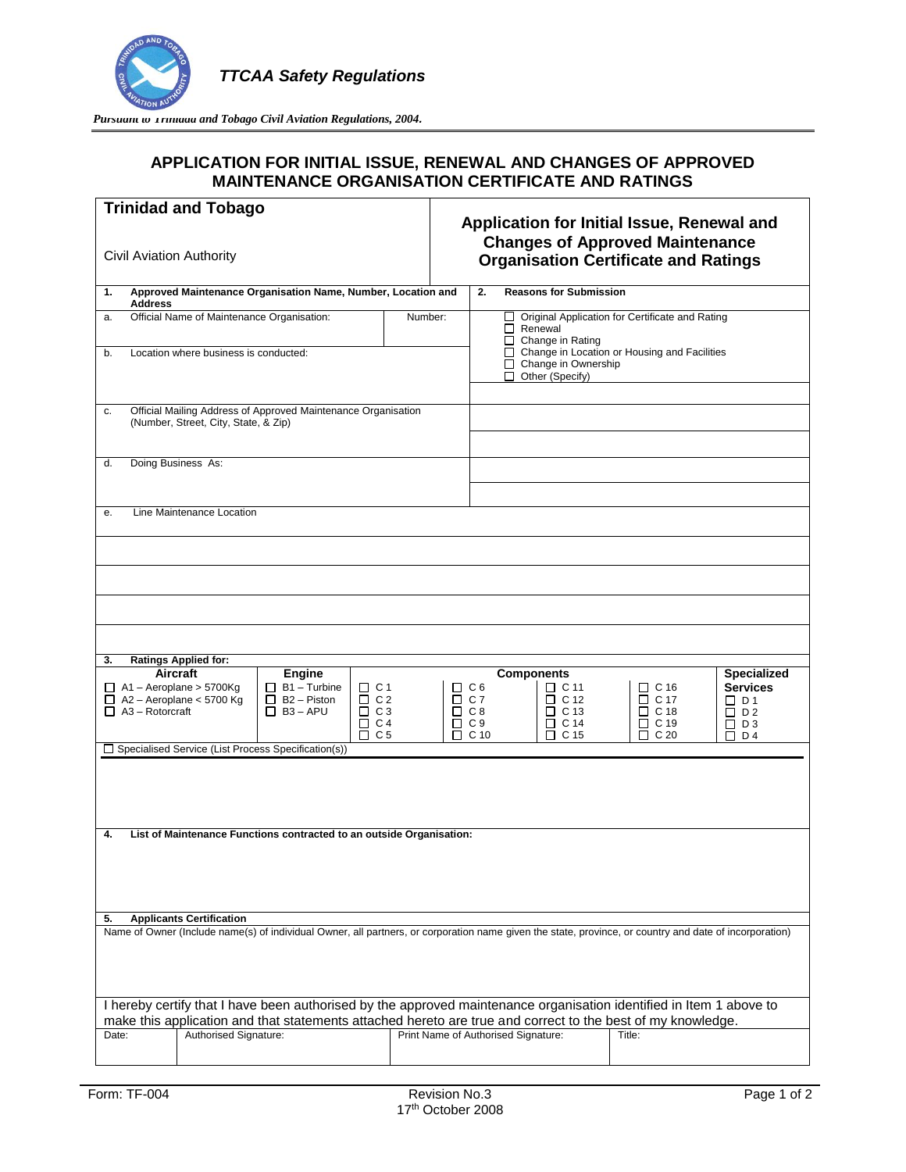

Pursuant to *Irinidad and Tobago Civil Aviation Regulations, 2004*.

## **APPLICATION FOR INITIAL ISSUE, RENEWAL AND CHANGES OF APPROVED MAINTENANCE ORGANISATION CERTIFICATE AND RATINGS**

| <b>Trinidad and Tobago</b><br>Civil Aviation Authority                                                                                                                                                                                                                                                                  |                  | Application for Initial Issue, Renewal and<br><b>Changes of Approved Maintenance</b><br><b>Organisation Certificate and Ratings</b>                                                                                                                                                                                                                              |  |  |  |  |
|-------------------------------------------------------------------------------------------------------------------------------------------------------------------------------------------------------------------------------------------------------------------------------------------------------------------------|------------------|------------------------------------------------------------------------------------------------------------------------------------------------------------------------------------------------------------------------------------------------------------------------------------------------------------------------------------------------------------------|--|--|--|--|
| Approved Maintenance Organisation Name, Number, Location and<br>1.<br><b>Address</b>                                                                                                                                                                                                                                    |                  | 2.<br><b>Reasons for Submission</b>                                                                                                                                                                                                                                                                                                                              |  |  |  |  |
| Official Name of Maintenance Organisation:<br>Number:<br>a.<br>b.<br>Location where business is conducted:                                                                                                                                                                                                              |                  | Original Application for Certificate and Rating<br>ப<br>Renewal<br>$\Box$ Change in Rating<br>$\Box$ Change in Location or Housing and Facilities<br>Change in Ownership<br>П.<br>Other (Specify)                                                                                                                                                                |  |  |  |  |
| Official Mailing Address of Approved Maintenance Organisation<br>c.<br>(Number, Street, City, State, & Zip)                                                                                                                                                                                                             |                  |                                                                                                                                                                                                                                                                                                                                                                  |  |  |  |  |
| Doing Business As:<br>d.                                                                                                                                                                                                                                                                                                |                  |                                                                                                                                                                                                                                                                                                                                                                  |  |  |  |  |
| Line Maintenance Location<br>е.                                                                                                                                                                                                                                                                                         |                  |                                                                                                                                                                                                                                                                                                                                                                  |  |  |  |  |
|                                                                                                                                                                                                                                                                                                                         |                  |                                                                                                                                                                                                                                                                                                                                                                  |  |  |  |  |
| <b>Ratings Applied for:</b><br>3.<br>Aircraft<br><b>Engine</b><br>$\Box$ B1 - Turbine<br>$\Box$ C 1<br>$\Box$ A1 – Aeroplane > 5700Kg<br>$\Box$ A2 - Aeroplane < 5700 Kg<br>$\Box$ B2 - Piston<br>$\Box$ C 2<br>$\Box$ A3 – Rotorcraft<br>$\Box$ B <sub>3</sub> – APU<br>$\Box$ C 3<br>$\Box$ C4<br>C <sub>5</sub><br>□ | □<br>□<br>□<br>□ | <b>Components</b><br><b>Specialized</b><br><b>Services</b><br>$\Box$ C 11<br>C <sub>6</sub><br>$\Box$ C 16<br>$\Box$ C 7<br>$\Box$ C 12<br>$\Box$ C 17<br>$\Box$ D1<br>C8<br>$\Box$ C 13<br>$\Box$ C 18<br>$\Box$ D 2<br>C <sub>9</sub><br>$\Box$ C 14<br>$\Box$ C 19<br>$\Box$ D 3<br>C <sub>20</sub><br>C <sub>10</sub><br>C <sub>15</sub><br>$\Box$<br>П<br>п |  |  |  |  |
| Specialised Service (List Process Specification(s))<br>П                                                                                                                                                                                                                                                                |                  | D 4                                                                                                                                                                                                                                                                                                                                                              |  |  |  |  |
| List of Maintenance Functions contracted to an outside Organisation:<br>4.<br><b>Applicants Certification</b>                                                                                                                                                                                                           |                  |                                                                                                                                                                                                                                                                                                                                                                  |  |  |  |  |
| 5.<br>Name of Owner (Include name(s) of individual Owner, all partners, or corporation name given the state, province, or country and date of incorporation)                                                                                                                                                            |                  |                                                                                                                                                                                                                                                                                                                                                                  |  |  |  |  |
| I hereby certify that I have been authorised by the approved maintenance organisation identified in Item 1 above to<br>make this application and that statements attached hereto are true and correct to the best of my knowledge.<br>Authorised Signature:<br>Print Name of Authorised Signature:<br>Date:<br>Title:   |                  |                                                                                                                                                                                                                                                                                                                                                                  |  |  |  |  |